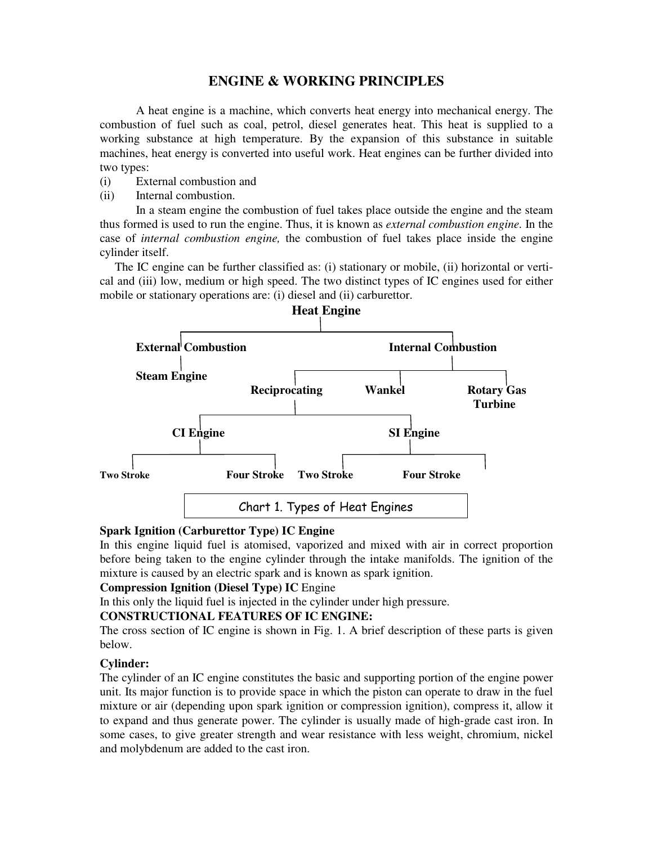# **ENGINE & WORKING PRINCIPLES**

A heat engine is a machine, which converts heat energy into mechanical energy. The combustion of fuel such as coal, petrol, diesel generates heat. This heat is supplied to a working substance at high temperature. By the expansion of this substance in suitable machines, heat energy is converted into useful work. Heat engines can be further divided into two types:

- (i) External combustion and
- (ii) Internal combustion.

In a steam engine the combustion of fuel takes place outside the engine and the steam thus formed is used to run the engine. Thus, it is known as *external combustion engine.* In the case of *internal combustion engine,* the combustion of fuel takes place inside the engine cylinder itself.

The IC engine can be further classified as: (i) stationary or mobile, (ii) horizontal or vertical and (iii) low, medium or high speed. The two distinct types of IC engines used for either mobile or stationary operations are: (i) diesel and (ii) carburettor.



**Spark Ignition (Carburettor Type) IC Engine**  In this engine liquid fuel is atomised, vaporized and mixed with air in correct proportion before being taken to the engine cylinder through the intake manifolds. The ignition of the

mixture is caused by an electric spark and is known as spark ignition.

## **Compression Ignition (Diesel Type) IC** Engine

In this only the liquid fuel is injected in the cylinder under high pressure.

### **CONSTRUCTIONAL FEATURES OF IC ENGINE:**

The cross section of IC engine is shown in Fig. 1. A brief description of these parts is given below.

#### **Cylinder:**

The cylinder of an IC engine constitutes the basic and supporting portion of the engine power unit. Its major function is to provide space in which the piston can operate to draw in the fuel mixture or air (depending upon spark ignition or compression ignition), compress it, allow it to expand and thus generate power. The cylinder is usually made of high-grade cast iron. In some cases, to give greater strength and wear resistance with less weight, chromium, nickel and molybdenum are added to the cast iron.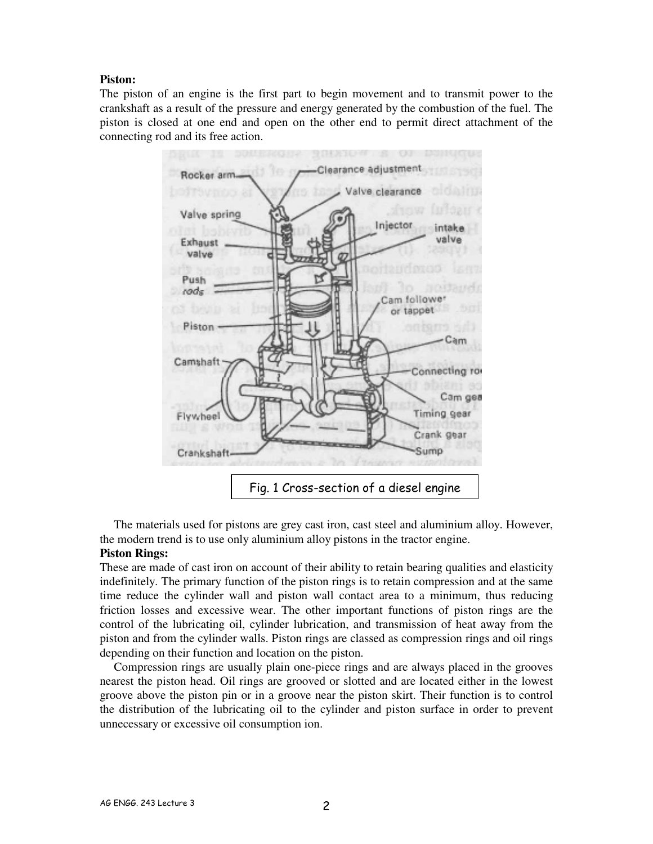#### **Piston:**

The piston of an engine is the first part to begin movement and to transmit power to the crankshaft as a result of the pressure and energy generated by the combustion of the fuel. The piston is closed at one end and open on the other end to permit direct attachment of the connecting rod and its free action.



The materials used for pistons are grey cast iron, cast steel and aluminium alloy. However, the modern trend is to use only aluminium alloy pistons in the tractor engine.

#### **Piston Rings:**

These are made of cast iron on account of their ability to retain bearing qualities and elasticity indefinitely. The primary function of the piston rings is to retain compression and at the same time reduce the cylinder wall and piston wall contact area to a minimum, thus reducing friction losses and excessive wear. The other important functions of piston rings are the control of the lubricating oil, cylinder lubrication, and transmission of heat away from the piston and from the cylinder walls. Piston rings are classed as compression rings and oil rings depending on their function and location on the piston.

Compression rings are usually plain one-piece rings and are always placed in the grooves nearest the piston head. Oil rings are grooved or slotted and are located either in the lowest groove above the piston pin or in a groove near the piston skirt. Their function is to control the distribution of the lubricating oil to the cylinder and piston surface in order to prevent unnecessary or excessive oil consumption ion.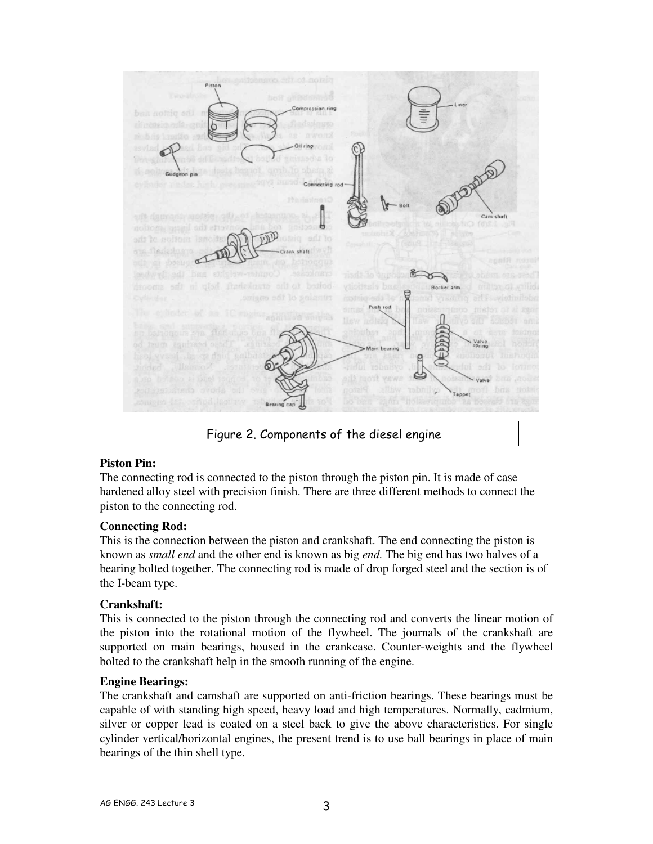Connecting roo shaft Rocker arm Push rod

Figure 2. Components of the diesel engine

#### **Piston Pin:**

The connecting rod is connected to the piston through the piston pin. It is made of case hardened alloy steel with precision finish. There are three different methods to connect the piston to the connecting rod.

#### **Connecting Rod:**

This is the connection between the piston and crankshaft. The end connecting the piston is known as *small end* and the other end is known as big *end.* The big end has two halves of a bearing bolted together. The connecting rod is made of drop forged steel and the section is of the I-beam type.

#### **Crankshaft:**

This is connected to the piston through the connecting rod and converts the linear motion of the piston into the rotational motion of the flywheel. The journals of the crankshaft are supported on main bearings, housed in the crankcase. Counter-weights and the flywheel bolted to the crankshaft help in the smooth running of the engine.

#### **Engine Bearings:**

The crankshaft and camshaft are supported on anti-friction bearings. These bearings must be capable of with standing high speed, heavy load and high temperatures. Normally, cadmium, silver or copper lead is coated on a steel back to give the above characteristics. For single cylinder vertical/horizontal engines, the present trend is to use ball bearings in place of main bearings of the thin shell type.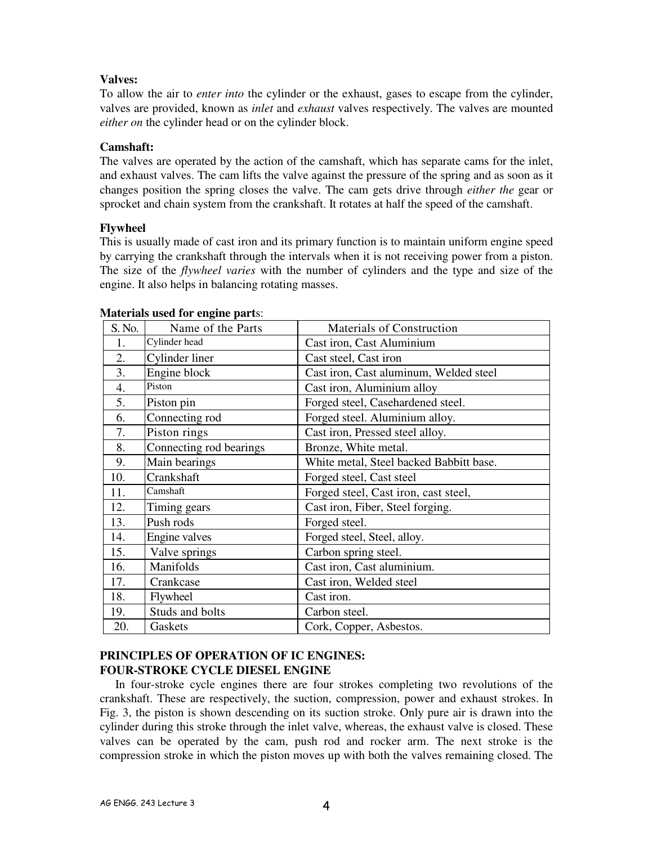### **Valves:**

To allow the air to *enter into* the cylinder or the exhaust, gases to escape from the cylinder, valves are provided, known as *inlet* and *exhaust* valves respectively. The valves are mounted *either on* the cylinder head or on the cylinder block.

## **Camshaft:**

The valves are operated by the action of the camshaft, which has separate cams for the inlet, and exhaust valves. The cam lifts the valve against the pressure of the spring and as soon as it changes position the spring closes the valve. The cam gets drive through *either the* gear or sprocket and chain system from the crankshaft. It rotates at half the speed of the camshaft.

## **Flywheel**

This is usually made of cast iron and its primary function is to maintain uniform engine speed by carrying the crankshaft through the intervals when it is not receiving power from a piston. The size of the *flywheel varies* with the number of cylinders and the type and size of the engine. It also helps in balancing rotating masses.

| S. No. | Name of the Parts       | <b>Materials of Construction</b>        |
|--------|-------------------------|-----------------------------------------|
| 1.     | Cylinder head           | Cast iron, Cast Aluminium               |
| 2.     | Cylinder liner          | Cast steel, Cast iron                   |
| 3.     | Engine block            | Cast iron, Cast aluminum, Welded steel  |
| 4.     | Piston                  | Cast iron, Aluminium alloy              |
| 5.     | Piston pin              | Forged steel, Casehardened steel.       |
| 6.     | Connecting rod          | Forged steel. Aluminium alloy.          |
| 7.     | Piston rings            | Cast iron, Pressed steel alloy.         |
| 8.     | Connecting rod bearings | Bronze, White metal.                    |
| 9.     | Main bearings           | White metal, Steel backed Babbitt base. |
| 10.    | Crankshaft              | Forged steel, Cast steel                |
| 11.    | Camshaft                | Forged steel, Cast iron, cast steel,    |
| 12.    | Timing gears            | Cast iron, Fiber, Steel forging.        |
| 13.    | Push rods               | Forged steel.                           |
| 14.    | Engine valves           | Forged steel, Steel, alloy.             |
| 15.    | Valve springs           | Carbon spring steel.                    |
| 16.    | Manifolds               | Cast iron, Cast aluminium.              |
| 17.    | Crankcase               | Cast iron, Welded steel                 |
| 18.    | Flywheel                | Cast iron.                              |
| 19.    | Studs and bolts         | Carbon steel.                           |
| 20.    | Gaskets                 | Cork, Copper, Asbestos.                 |

#### **Materials used for engine part**s:

#### **PRINCIPLES OF OPERATION OF IC ENGINES: FOUR-STROKE CYCLE DIESEL ENGINE**

In four-stroke cycle engines there are four strokes completing two revolutions of the crankshaft. These are respectively, the suction, compression, power and exhaust strokes. In Fig. 3, the piston is shown descending on its suction stroke. Only pure air is drawn into the cylinder during this stroke through the inlet valve, whereas, the exhaust valve is closed. These valves can be operated by the cam, push rod and rocker arm. The next stroke is the compression stroke in which the piston moves up with both the valves remaining closed. The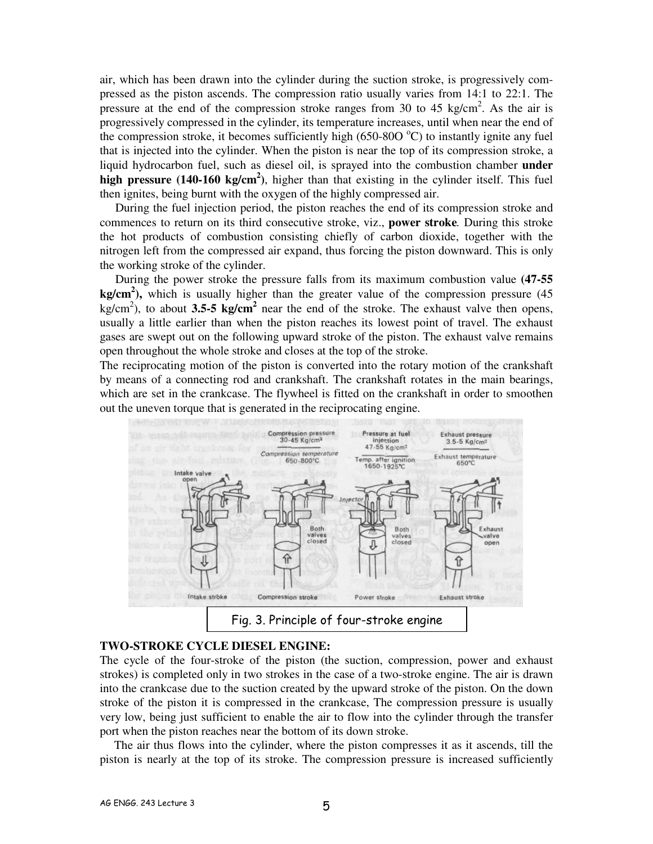air, which has been drawn into the cylinder during the suction stroke, is progressively compressed as the piston ascends. The compression ratio usually varies from 14:1 to 22:1. The pressure at the end of the compression stroke ranges from 30 to 45 kg/cm<sup>2</sup>. As the air is progressively compressed in the cylinder, its temperature increases, until when near the end of the compression stroke, it becomes sufficiently high (650-800  $^{\circ}$ C) to instantly ignite any fuel that is injected into the cylinder. When the piston is near the top of its compression stroke, a liquid hydrocarbon fuel, such as diesel oil, is sprayed into the combustion chamber **under high pressure (140-160 kg/cm<sup>2</sup> )**, higher than that existing in the cylinder itself. This fuel then ignites, being burnt with the oxygen of the highly compressed air.

During the fuel injection period, the piston reaches the end of its compression stroke and commences to return on its third consecutive stroke, viz., **power stroke***.* During this stroke the hot products of combustion consisting chiefly of carbon dioxide, together with the nitrogen left from the compressed air expand, thus forcing the piston downward. This is only the working stroke of the cylinder.

During the power stroke the pressure falls from its maximum combustion value **(47-55 kg/cm<sup>2</sup> ),** which is usually higher than the greater value of the compression pressure (45  $kg/cm<sup>2</sup>$ ), to about **3.5-5 kg/cm<sup>2</sup>** near the end of the stroke. The exhaust valve then opens, usually a little earlier than when the piston reaches its lowest point of travel. The exhaust gases are swept out on the following upward stroke of the piston. The exhaust valve remains open throughout the whole stroke and closes at the top of the stroke.

The reciprocating motion of the piston is converted into the rotary motion of the crankshaft by means of a connecting rod and crankshaft. The crankshaft rotates in the main bearings, which are set in the crankcase. The flywheel is fitted on the crankshaft in order to smoothen out the uneven torque that is generated in the reciprocating engine.



## **TWO-STROKE CYCLE DIESEL ENGINE:**

The cycle of the four-stroke of the piston (the suction, compression, power and exhaust strokes) is completed only in two strokes in the case of a two-stroke engine. The air is drawn into the crankcase due to the suction created by the upward stroke of the piston. On the down stroke of the piston it is compressed in the crankcase, The compression pressure is usually very low, being just sufficient to enable the air to flow into the cylinder through the transfer port when the piston reaches near the bottom of its down stroke.

The air thus flows into the cylinder, where the piston compresses it as it ascends, till the piston is nearly at the top of its stroke. The compression pressure is increased sufficiently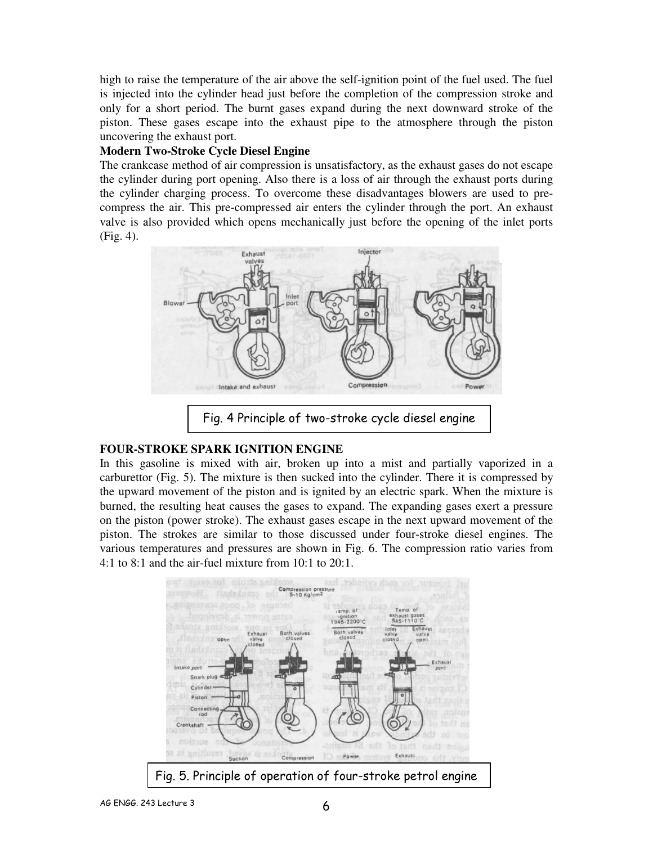high to raise the temperature of the air above the self-ignition point of the fuel used. The fuel is injected into the cylinder head just before the completion of the compression stroke and only for a short period. The burnt gases expand during the next downward stroke of the piston. These gases escape into the exhaust pipe to the atmosphere through the piston uncovering the exhaust port.

#### **Modern Two-Stroke Cycle Diesel Engine**

The crankcase method of air compression is unsatisfactory, as the exhaust gases do not escape the cylinder during port opening. Also there is a loss of air through the exhaust ports during the cylinder charging process. To overcome these disadvantages blowers are used to precompress the air. This pre-compressed air enters the cylinder through the port. An exhaust valve is also provided which opens mechanically just before the opening of the inlet ports (Fig. 4).



Fig. 4 Principle of two-stroke cycle diesel engine

#### **FOUR-STROKE SPARK IGNITION ENGINE**

In this gasoline is mixed with air, broken up into a mist and partially vaporized in a carburettor (Fig. 5). The mixture is then sucked into the cylinder. There it is compressed by the upward movement of the piston and is ignited by an electric spark. When the mixture is burned, the resulting heat causes the gases to expand. The expanding gases exert a pressure on the piston (power stroke). The exhaust gases escape in the next upward movement of the piston. The strokes are similar to those discussed under four-stroke diesel engines. The various temperatures and pressures are shown in Fig. 6. The compression ratio varies from 4:1 to 8:1 and the air-fuel mixture from 10:1 to 20:1.

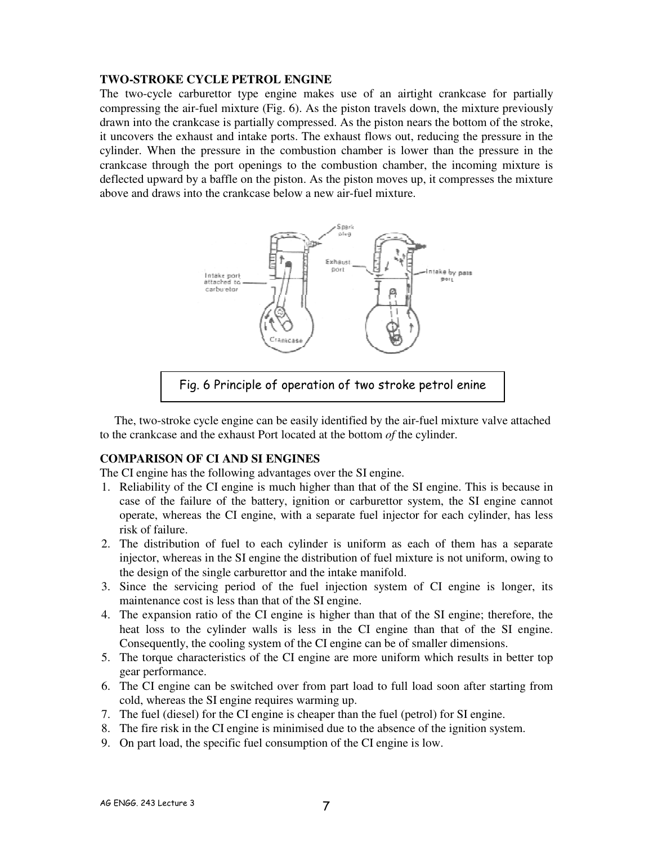#### **TWO-STROKE CYCLE PETROL ENGINE**

The two-cycle carburettor type engine makes use of an airtight crankcase for partially compressing the air-fuel mixture (Fig. 6). As the piston travels down, the mixture previously drawn into the crankcase is partially compressed. As the piston nears the bottom of the stroke, it uncovers the exhaust and intake ports. The exhaust flows out, reducing the pressure in the cylinder. When the pressure in the combustion chamber is lower than the pressure in the crankcase through the port openings to the combustion chamber, the incoming mixture is deflected upward by a baffle on the piston. As the piston moves up, it compresses the mixture above and draws into the crankcase below a new air-fuel mixture.



Fig. 6 Principle of operation of two stroke petrol enine

The, two-stroke cycle engine can be easily identified by the air-fuel mixture valve attached to the crankcase and the exhaust Port located at the bottom *of* the cylinder.

## **COMPARISON OF CI AND SI ENGINES**

The CI engine has the following advantages over the SI engine.

- 1. Reliability of the CI engine is much higher than that of the SI engine. This is because in case of the failure of the battery, ignition or carburettor system, the SI engine cannot operate, whereas the CI engine, with a separate fuel injector for each cylinder, has less risk of failure.
- 2. The distribution of fuel to each cylinder is uniform as each of them has a separate injector, whereas in the SI engine the distribution of fuel mixture is not uniform, owing to the design of the single carburettor and the intake manifold.
- 3. Since the servicing period of the fuel injection system of CI engine is longer, its maintenance cost is less than that of the SI engine.
- 4. The expansion ratio of the CI engine is higher than that of the SI engine; therefore, the heat loss to the cylinder walls is less in the CI engine than that of the SI engine. Consequently, the cooling system of the CI engine can be of smaller dimensions.
- 5. The torque characteristics of the CI engine are more uniform which results in better top gear performance.
- 6. The CI engine can be switched over from part load to full load soon after starting from cold, whereas the SI engine requires warming up.
- 7. The fuel (diesel) for the CI engine is cheaper than the fuel (petrol) for SI engine.
- 8. The fire risk in the CI engine is minimised due to the absence of the ignition system.
- 9. On part load, the specific fuel consumption of the CI engine is low.